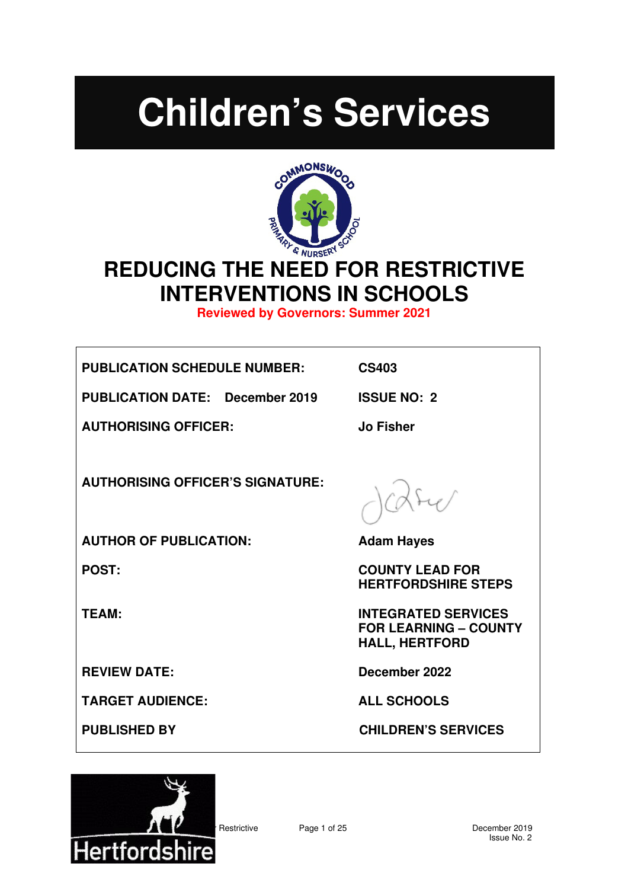# **Children's Services**



# **REDUCING THE NEED FOR RESTRICTIVE INTERVENTIONS IN SCHOOLS**

**Reviewed by Governors: Summer 2021**

**PUBLICATION SCHEDULE NUMBER: CS403** 

**PUBLICATION DATE: December 2019 ISSUE NO: 2** 

**AUTHORISING OFFICER: Jo Fisher** 

**AUTHORISING OFFICER'S SIGNATURE:** 

**AUTHOR OF PUBLICATION: Adam Hayes** 

**TARGET AUDIENCE: ALL SCHOOLS** 

**POST:** COUNTY LEAD FOR **HERTFORDSHIRE STEPS** 

**TEAM: INTEGRATED SERVICES FOR LEARNING – COUNTY HALL, HERTFORD** 

**REVIEW DATE: December 2022** 

**PUBLISHED BY CHILDREN'S SERVICES** 

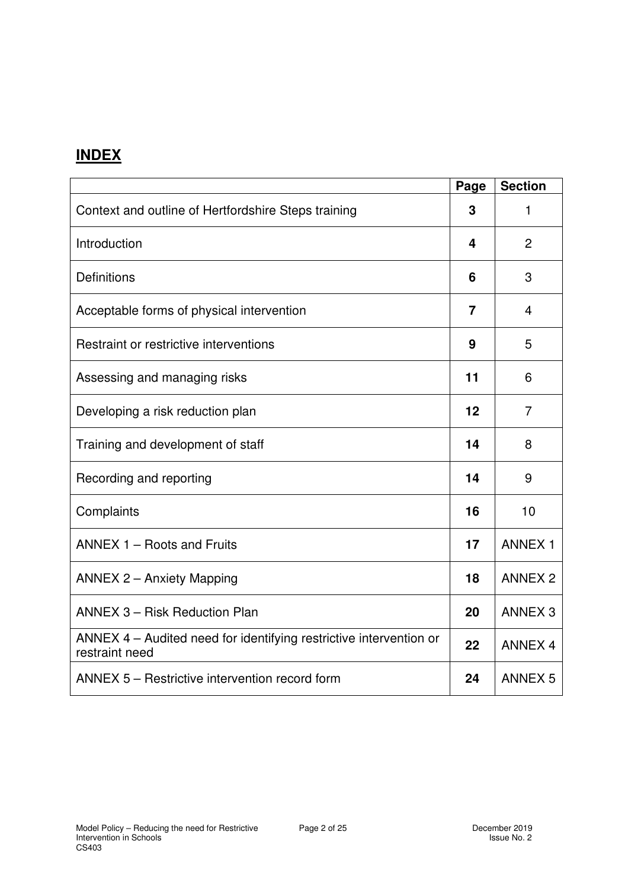## **INDEX**

|                                                                                      | Page | <b>Section</b> |
|--------------------------------------------------------------------------------------|------|----------------|
| Context and outline of Hertfordshire Steps training                                  | 3    | 1              |
| Introduction                                                                         | 4    | $\overline{2}$ |
| <b>Definitions</b>                                                                   | 6    | 3              |
| Acceptable forms of physical intervention                                            | 7    | $\overline{4}$ |
| Restraint or restrictive interventions                                               | 9    | 5              |
| Assessing and managing risks                                                         | 11   | 6              |
| Developing a risk reduction plan                                                     | 12   | $\overline{7}$ |
| Training and development of staff                                                    | 14   | 8              |
| Recording and reporting                                                              | 14   | 9              |
| Complaints                                                                           | 16   | 10             |
| ANNEX 1 - Roots and Fruits                                                           | 17   | <b>ANNEX 1</b> |
| <b>ANNEX 2 - Anxiety Mapping</b>                                                     | 18   | <b>ANNEX 2</b> |
| <b>ANNEX 3 - Risk Reduction Plan</b>                                                 | 20   | <b>ANNEX 3</b> |
| ANNEX 4 – Audited need for identifying restrictive intervention or<br>restraint need | 22   | <b>ANNEX 4</b> |
| ANNEX 5 - Restrictive intervention record form                                       | 24   | <b>ANNEX 5</b> |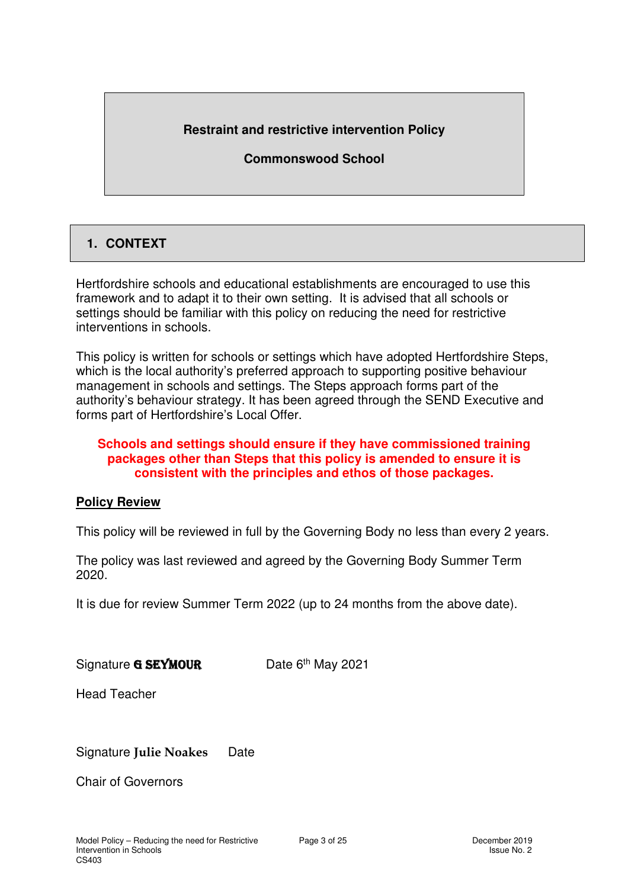#### **Restraint and restrictive intervention Policy**

#### **Commonswood School**

#### **1. CONTEXT**

Hertfordshire schools and educational establishments are encouraged to use this framework and to adapt it to their own setting. It is advised that all schools or settings should be familiar with this policy on reducing the need for restrictive interventions in schools.

This policy is written for schools or settings which have adopted Hertfordshire Steps, which is the local authority's preferred approach to supporting positive behaviour management in schools and settings. The Steps approach forms part of the authority's behaviour strategy. It has been agreed through the SEND Executive and forms part of Hertfordshire's Local Offer.

#### **Schools and settings should ensure if they have commissioned training packages other than Steps that this policy is amended to ensure it is consistent with the principles and ethos of those packages.**

#### **Policy Review**

This policy will be reviewed in full by the Governing Body no less than every 2 years.

The policy was last reviewed and agreed by the Governing Body Summer Term 2020.

It is due for review Summer Term 2022 (up to 24 months from the above date).

Signature **G SEYMOUR** Date  $6<sup>th</sup>$  May 2021

Head Teacher

Signature **Julie Noakes** Date

Chair of Governors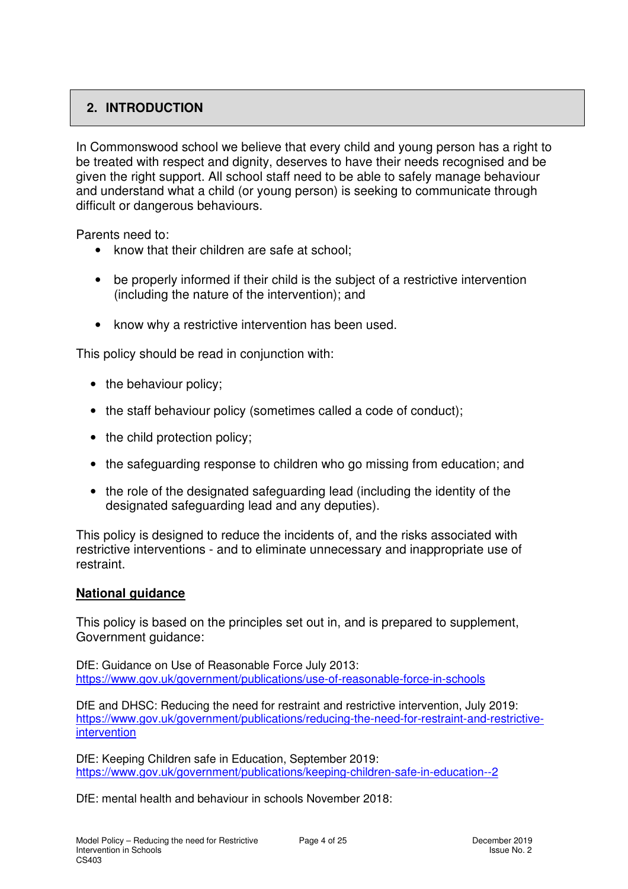#### **2. INTRODUCTION**

In Commonswood school we believe that every child and young person has a right to be treated with respect and dignity, deserves to have their needs recognised and be given the right support. All school staff need to be able to safely manage behaviour and understand what a child (or young person) is seeking to communicate through difficult or dangerous behaviours.

Parents need to:

- know that their children are safe at school:
- be properly informed if their child is the subject of a restrictive intervention (including the nature of the intervention); and
- know why a restrictive intervention has been used.

This policy should be read in conjunction with:

- the behaviour policy;
- the staff behaviour policy (sometimes called a code of conduct):
- the child protection policy;
- the safeguarding response to children who go missing from education; and
- the role of the designated safeguarding lead (including the identity of the designated safeguarding lead and any deputies).

This policy is designed to reduce the incidents of, and the risks associated with restrictive interventions - and to eliminate unnecessary and inappropriate use of restraint.

#### **National guidance**

This policy is based on the principles set out in, and is prepared to supplement, Government guidance:

DfE: Guidance on Use of Reasonable Force July 2013: https://www.gov.uk/government/publications/use-of-reasonable-force-in-schools

DfE and DHSC: Reducing the need for restraint and restrictive intervention, July 2019: https://www.gov.uk/government/publications/reducing-the-need-for-restraint-and-restrictiveintervention

DfE: Keeping Children safe in Education, September 2019: https://www.gov.uk/government/publications/keeping-children-safe-in-education--2

DfE: mental health and behaviour in schools November 2018: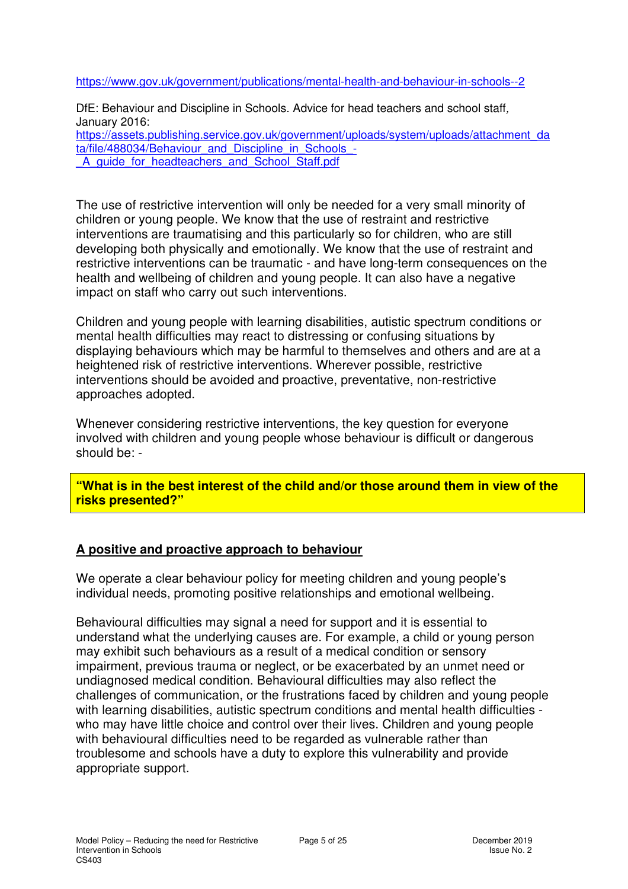https://www.gov.uk/government/publications/mental-health-and-behaviour-in-schools--2

DfE: Behaviour and Discipline in Schools. Advice for head teachers and school staff, January 2016: https://assets.publishing.service.gov.uk/government/uploads/system/uploads/attachment\_da ta/file/488034/Behaviour\_and\_Discipline\_in\_Schools\_-A quide for headteachers and School Staff.pdf

The use of restrictive intervention will only be needed for a very small minority of children or young people. We know that the use of restraint and restrictive interventions are traumatising and this particularly so for children, who are still developing both physically and emotionally. We know that the use of restraint and restrictive interventions can be traumatic - and have long-term consequences on the health and wellbeing of children and young people. It can also have a negative impact on staff who carry out such interventions.

Children and young people with learning disabilities, autistic spectrum conditions or mental health difficulties may react to distressing or confusing situations by displaying behaviours which may be harmful to themselves and others and are at a heightened risk of restrictive interventions. Wherever possible, restrictive interventions should be avoided and proactive, preventative, non-restrictive approaches adopted.

Whenever considering restrictive interventions, the key question for everyone involved with children and young people whose behaviour is difficult or dangerous should be: -

**"What is in the best interest of the child and/or those around them in view of the risks presented?"** 

#### **A positive and proactive approach to behaviour**

We operate a clear behaviour policy for meeting children and young people's individual needs, promoting positive relationships and emotional wellbeing.

Behavioural difficulties may signal a need for support and it is essential to understand what the underlying causes are. For example, a child or young person may exhibit such behaviours as a result of a medical condition or sensory impairment, previous trauma or neglect, or be exacerbated by an unmet need or undiagnosed medical condition. Behavioural difficulties may also reflect the challenges of communication, or the frustrations faced by children and young people with learning disabilities, autistic spectrum conditions and mental health difficulties who may have little choice and control over their lives. Children and young people with behavioural difficulties need to be regarded as vulnerable rather than troublesome and schools have a duty to explore this vulnerability and provide appropriate support.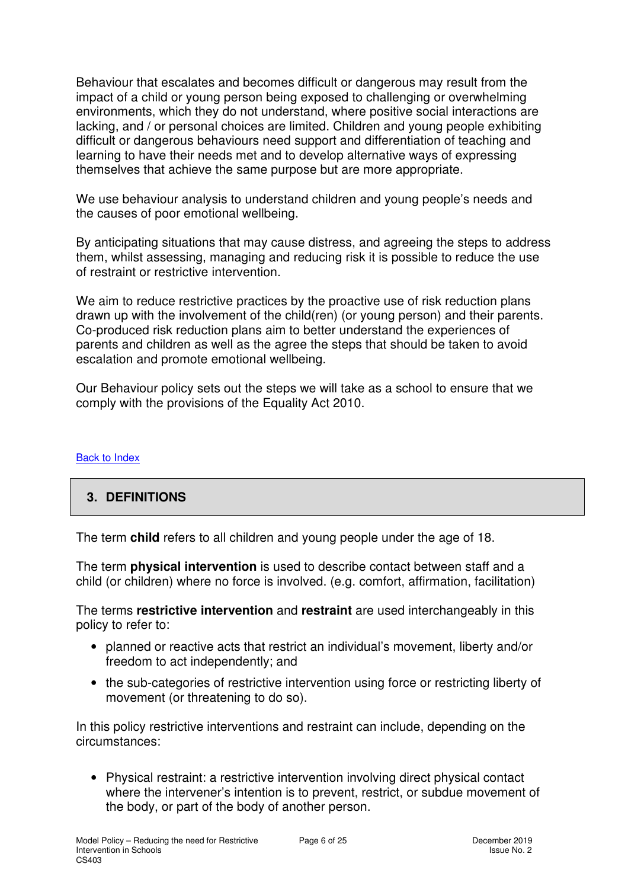Behaviour that escalates and becomes difficult or dangerous may result from the impact of a child or young person being exposed to challenging or overwhelming environments, which they do not understand, where positive social interactions are lacking, and / or personal choices are limited. Children and young people exhibiting difficult or dangerous behaviours need support and differentiation of teaching and learning to have their needs met and to develop alternative ways of expressing themselves that achieve the same purpose but are more appropriate.

We use behaviour analysis to understand children and young people's needs and the causes of poor emotional wellbeing.

By anticipating situations that may cause distress, and agreeing the steps to address them, whilst assessing, managing and reducing risk it is possible to reduce the use of restraint or restrictive intervention.

We aim to reduce restrictive practices by the proactive use of risk reduction plans drawn up with the involvement of the child(ren) (or young person) and their parents. Co-produced risk reduction plans aim to better understand the experiences of parents and children as well as the agree the steps that should be taken to avoid escalation and promote emotional wellbeing.

Our Behaviour policy sets out the steps we will take as a school to ensure that we comply with the provisions of the Equality Act 2010.

#### Back to Index

#### **3. DEFINITIONS**

The term **child** refers to all children and young people under the age of 18.

The term **physical intervention** is used to describe contact between staff and a child (or children) where no force is involved. (e.g. comfort, affirmation, facilitation)

The terms **restrictive intervention** and **restraint** are used interchangeably in this policy to refer to:

- planned or reactive acts that restrict an individual's movement, liberty and/or freedom to act independently; and
- the sub-categories of restrictive intervention using force or restricting liberty of movement (or threatening to do so).

In this policy restrictive interventions and restraint can include, depending on the circumstances:

• Physical restraint: a restrictive intervention involving direct physical contact where the intervener's intention is to prevent, restrict, or subdue movement of the body, or part of the body of another person.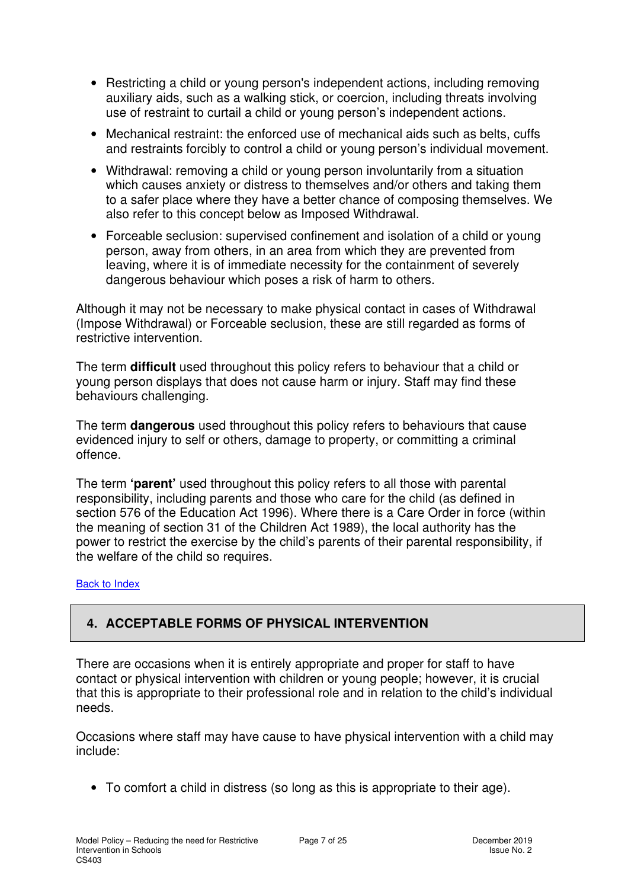- Restricting a child or young person's independent actions, including removing auxiliary aids, such as a walking stick, or coercion, including threats involving use of restraint to curtail a child or young person's independent actions.
- Mechanical restraint: the enforced use of mechanical aids such as belts, cuffs and restraints forcibly to control a child or young person's individual movement.
- Withdrawal: removing a child or young person involuntarily from a situation which causes anxiety or distress to themselves and/or others and taking them to a safer place where they have a better chance of composing themselves. We also refer to this concept below as Imposed Withdrawal.
- Forceable seclusion: supervised confinement and isolation of a child or young person, away from others, in an area from which they are prevented from leaving, where it is of immediate necessity for the containment of severely dangerous behaviour which poses a risk of harm to others.

Although it may not be necessary to make physical contact in cases of Withdrawal (Impose Withdrawal) or Forceable seclusion, these are still regarded as forms of restrictive intervention.

The term **difficult** used throughout this policy refers to behaviour that a child or young person displays that does not cause harm or injury. Staff may find these behaviours challenging.

The term **dangerous** used throughout this policy refers to behaviours that cause evidenced injury to self or others, damage to property, or committing a criminal offence.

The term **'parent'** used throughout this policy refers to all those with parental responsibility, including parents and those who care for the child (as defined in section 576 of the Education Act 1996). Where there is a Care Order in force (within the meaning of section 31 of the Children Act 1989), the local authority has the power to restrict the exercise by the child's parents of their parental responsibility, if the welfare of the child so requires.

#### Back to Index

#### **4. ACCEPTABLE FORMS OF PHYSICAL INTERVENTION**

There are occasions when it is entirely appropriate and proper for staff to have contact or physical intervention with children or young people; however, it is crucial that this is appropriate to their professional role and in relation to the child's individual needs.

Occasions where staff may have cause to have physical intervention with a child may include:

• To comfort a child in distress (so long as this is appropriate to their age).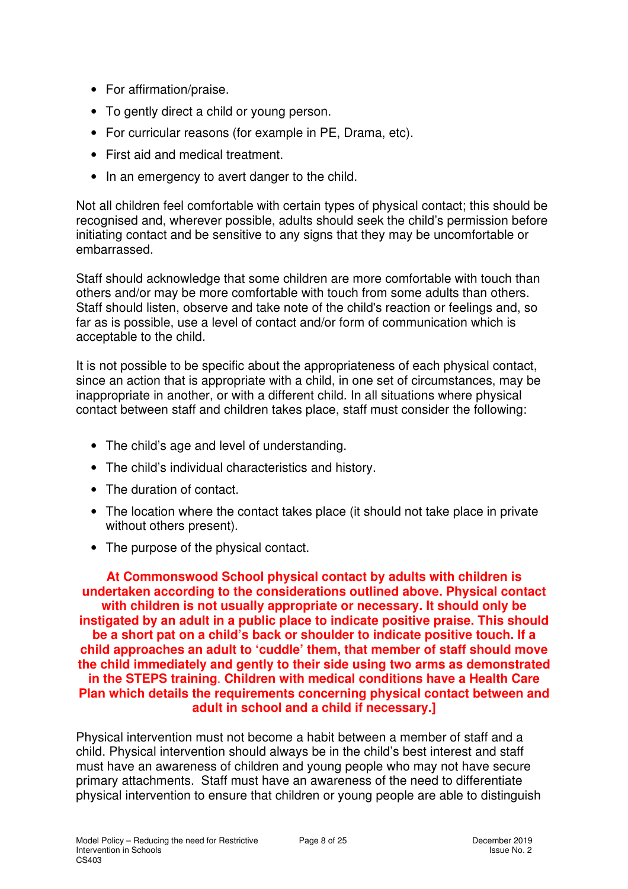- For affirmation/praise.
- To gently direct a child or young person.
- For curricular reasons (for example in PE, Drama, etc).
- First aid and medical treatment.
- In an emergency to avert danger to the child.

Not all children feel comfortable with certain types of physical contact; this should be recognised and, wherever possible, adults should seek the child's permission before initiating contact and be sensitive to any signs that they may be uncomfortable or embarrassed.

Staff should acknowledge that some children are more comfortable with touch than others and/or may be more comfortable with touch from some adults than others. Staff should listen, observe and take note of the child's reaction or feelings and, so far as is possible, use a level of contact and/or form of communication which is acceptable to the child.

It is not possible to be specific about the appropriateness of each physical contact, since an action that is appropriate with a child, in one set of circumstances, may be inappropriate in another, or with a different child. In all situations where physical contact between staff and children takes place, staff must consider the following:

- The child's age and level of understanding.
- The child's individual characteristics and history.
- The duration of contact.
- The location where the contact takes place (it should not take place in private without others present).
- The purpose of the physical contact.

**At Commonswood School physical contact by adults with children is undertaken according to the considerations outlined above. Physical contact with children is not usually appropriate or necessary. It should only be instigated by an adult in a public place to indicate positive praise. This should be a short pat on a child's back or shoulder to indicate positive touch. If a child approaches an adult to 'cuddle' them, that member of staff should move the child immediately and gently to their side using two arms as demonstrated in the STEPS training**. **Children with medical conditions have a Health Care Plan which details the requirements concerning physical contact between and adult in school and a child if necessary.]**

Physical intervention must not become a habit between a member of staff and a child. Physical intervention should always be in the child's best interest and staff must have an awareness of children and young people who may not have secure primary attachments. Staff must have an awareness of the need to differentiate physical intervention to ensure that children or young people are able to distinguish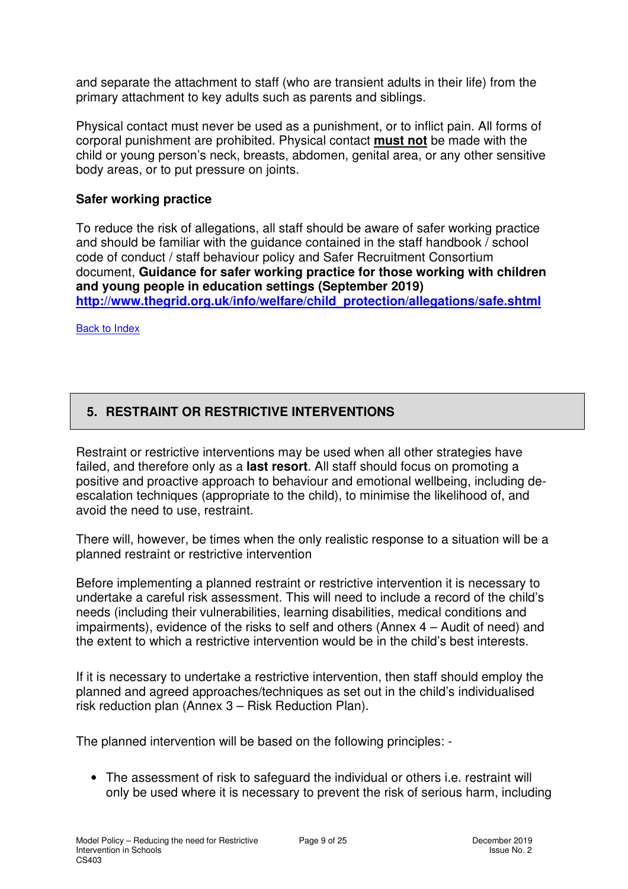and separate the attachment to staff (who are transient adults in their life) from the primary attachment to key adults such as parents and siblings.

Physical contact must never be used as a punishment, or to inflict pain. All forms of corporal punishment are prohibited. Physical contact **must not** be made with the child or young person's neck, breasts, abdomen, genital area, or any other sensitive body areas, or to put pressure on joints.

#### **Safer working practice**

To reduce the risk of allegations, all staff should be aware of safer working practice and should be familiar with the guidance contained in the staff handbook / school code of conduct / staff behaviour policy and Safer Recruitment Consortium document, **Guidance for safer working practice for those working with children and young people in education settings (September 2019) http://www.thegrid.org.uk/info/welfare/child\_protection/allegations/safe.shtml** 

Back to Index

#### **5. RESTRAINT OR RESTRICTIVE INTERVENTIONS**

Restraint or restrictive interventions may be used when all other strategies have failed, and therefore only as a **last resort**. All staff should focus on promoting a positive and proactive approach to behaviour and emotional wellbeing, including deescalation techniques (appropriate to the child), to minimise the likelihood of, and avoid the need to use, restraint.

There will, however, be times when the only realistic response to a situation will be a planned restraint or restrictive intervention

Before implementing a planned restraint or restrictive intervention it is necessary to undertake a careful risk assessment. This will need to include a record of the child's needs (including their vulnerabilities, learning disabilities, medical conditions and impairments), evidence of the risks to self and others (Annex 4 – Audit of need) and the extent to which a restrictive intervention would be in the child's best interests.

If it is necessary to undertake a restrictive intervention, then staff should employ the planned and agreed approaches/techniques as set out in the child's individualised risk reduction plan (Annex 3 – Risk Reduction Plan).

The planned intervention will be based on the following principles: -

• The assessment of risk to safeguard the individual or others i.e. restraint will only be used where it is necessary to prevent the risk of serious harm, including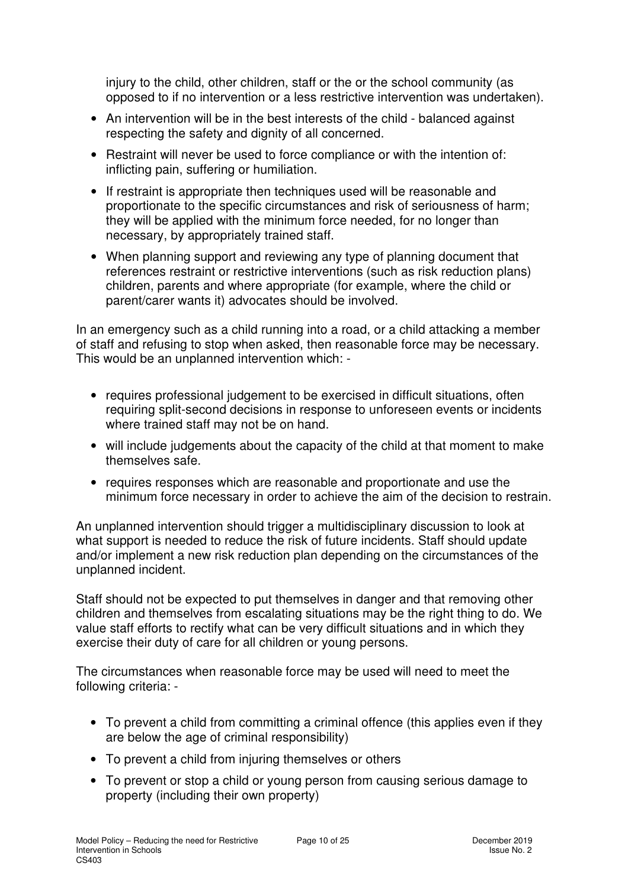injury to the child, other children, staff or the or the school community (as opposed to if no intervention or a less restrictive intervention was undertaken).

- An intervention will be in the best interests of the child balanced against respecting the safety and dignity of all concerned.
- Restraint will never be used to force compliance or with the intention of: inflicting pain, suffering or humiliation.
- If restraint is appropriate then techniques used will be reasonable and proportionate to the specific circumstances and risk of seriousness of harm; they will be applied with the minimum force needed, for no longer than necessary, by appropriately trained staff.
- When planning support and reviewing any type of planning document that references restraint or restrictive interventions (such as risk reduction plans) children, parents and where appropriate (for example, where the child or parent/carer wants it) advocates should be involved.

In an emergency such as a child running into a road, or a child attacking a member of staff and refusing to stop when asked, then reasonable force may be necessary. This would be an unplanned intervention which: -

- requires professional judgement to be exercised in difficult situations, often requiring split-second decisions in response to unforeseen events or incidents where trained staff may not be on hand.
- will include judgements about the capacity of the child at that moment to make themselves safe.
- requires responses which are reasonable and proportionate and use the minimum force necessary in order to achieve the aim of the decision to restrain.

An unplanned intervention should trigger a multidisciplinary discussion to look at what support is needed to reduce the risk of future incidents. Staff should update and/or implement a new risk reduction plan depending on the circumstances of the unplanned incident.

Staff should not be expected to put themselves in danger and that removing other children and themselves from escalating situations may be the right thing to do. We value staff efforts to rectify what can be very difficult situations and in which they exercise their duty of care for all children or young persons.

The circumstances when reasonable force may be used will need to meet the following criteria: -

- To prevent a child from committing a criminal offence (this applies even if they are below the age of criminal responsibility)
- To prevent a child from injuring themselves or others
- To prevent or stop a child or young person from causing serious damage to property (including their own property)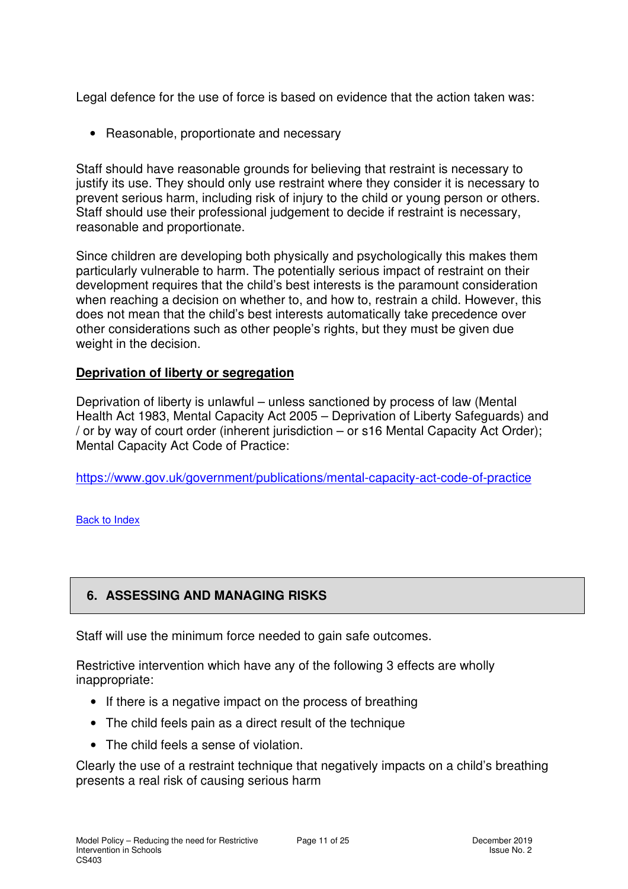Legal defence for the use of force is based on evidence that the action taken was:

• Reasonable, proportionate and necessary

Staff should have reasonable grounds for believing that restraint is necessary to justify its use. They should only use restraint where they consider it is necessary to prevent serious harm, including risk of injury to the child or young person or others. Staff should use their professional judgement to decide if restraint is necessary, reasonable and proportionate.

Since children are developing both physically and psychologically this makes them particularly vulnerable to harm. The potentially serious impact of restraint on their development requires that the child's best interests is the paramount consideration when reaching a decision on whether to, and how to, restrain a child. However, this does not mean that the child's best interests automatically take precedence over other considerations such as other people's rights, but they must be given due weight in the decision.

#### **Deprivation of liberty or segregation**

Deprivation of liberty is unlawful – unless sanctioned by process of law (Mental Health Act 1983, Mental Capacity Act 2005 – Deprivation of Liberty Safeguards) and / or by way of court order (inherent jurisdiction – or s16 Mental Capacity Act Order); Mental Capacity Act Code of Practice:

https://www.gov.uk/government/publications/mental-capacity-act-code-of-practice

Back to Index

### **6. ASSESSING AND MANAGING RISKS**

Staff will use the minimum force needed to gain safe outcomes.

Restrictive intervention which have any of the following 3 effects are wholly inappropriate:

- If there is a negative impact on the process of breathing
- The child feels pain as a direct result of the technique
- The child feels a sense of violation.

Clearly the use of a restraint technique that negatively impacts on a child's breathing presents a real risk of causing serious harm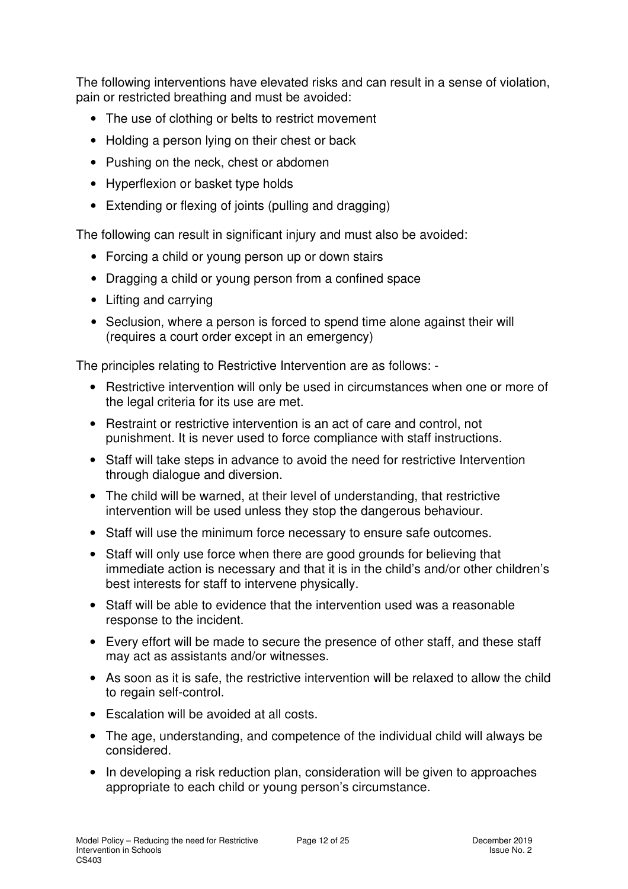The following interventions have elevated risks and can result in a sense of violation, pain or restricted breathing and must be avoided:

- The use of clothing or belts to restrict movement
- Holding a person lying on their chest or back
- Pushing on the neck, chest or abdomen
- Hyperflexion or basket type holds
- Extending or flexing of joints (pulling and dragging)

The following can result in significant injury and must also be avoided:

- Forcing a child or young person up or down stairs
- Dragging a child or young person from a confined space
- Lifting and carrying
- Seclusion, where a person is forced to spend time alone against their will (requires a court order except in an emergency)

The principles relating to Restrictive Intervention are as follows: -

- Restrictive intervention will only be used in circumstances when one or more of the legal criteria for its use are met.
- Restraint or restrictive intervention is an act of care and control, not punishment. It is never used to force compliance with staff instructions.
- Staff will take steps in advance to avoid the need for restrictive Intervention through dialogue and diversion.
- The child will be warned, at their level of understanding, that restrictive intervention will be used unless they stop the dangerous behaviour.
- Staff will use the minimum force necessary to ensure safe outcomes.
- Staff will only use force when there are good grounds for believing that immediate action is necessary and that it is in the child's and/or other children's best interests for staff to intervene physically.
- Staff will be able to evidence that the intervention used was a reasonable response to the incident.
- Every effort will be made to secure the presence of other staff, and these staff may act as assistants and/or witnesses.
- As soon as it is safe, the restrictive intervention will be relaxed to allow the child to regain self-control.
- Escalation will be avoided at all costs.
- The age, understanding, and competence of the individual child will always be considered.
- In developing a risk reduction plan, consideration will be given to approaches appropriate to each child or young person's circumstance.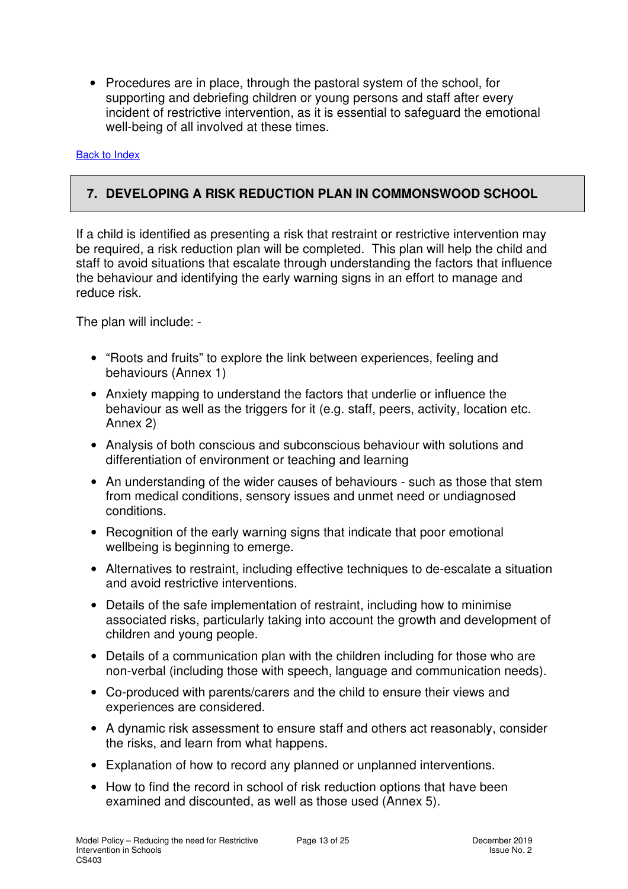• Procedures are in place, through the pastoral system of the school, for supporting and debriefing children or young persons and staff after every incident of restrictive intervention, as it is essential to safeguard the emotional well-being of all involved at these times.

Back to Index

#### **7. DEVELOPING A RISK REDUCTION PLAN IN COMMONSWOOD SCHOOL**

If a child is identified as presenting a risk that restraint or restrictive intervention may be required, a risk reduction plan will be completed. This plan will help the child and staff to avoid situations that escalate through understanding the factors that influence the behaviour and identifying the early warning signs in an effort to manage and reduce risk.

The plan will include: -

- "Roots and fruits" to explore the link between experiences, feeling and behaviours (Annex 1)
- Anxiety mapping to understand the factors that underlie or influence the behaviour as well as the triggers for it (e.g. staff, peers, activity, location etc. Annex 2)
- Analysis of both conscious and subconscious behaviour with solutions and differentiation of environment or teaching and learning
- An understanding of the wider causes of behaviours such as those that stem from medical conditions, sensory issues and unmet need or undiagnosed conditions.
- Recognition of the early warning signs that indicate that poor emotional wellbeing is beginning to emerge.
- Alternatives to restraint, including effective techniques to de-escalate a situation and avoid restrictive interventions.
- Details of the safe implementation of restraint, including how to minimise associated risks, particularly taking into account the growth and development of children and young people.
- Details of a communication plan with the children including for those who are non-verbal (including those with speech, language and communication needs).
- Co-produced with parents/carers and the child to ensure their views and experiences are considered.
- A dynamic risk assessment to ensure staff and others act reasonably, consider the risks, and learn from what happens.
- Explanation of how to record any planned or unplanned interventions.
- How to find the record in school of risk reduction options that have been examined and discounted, as well as those used (Annex 5).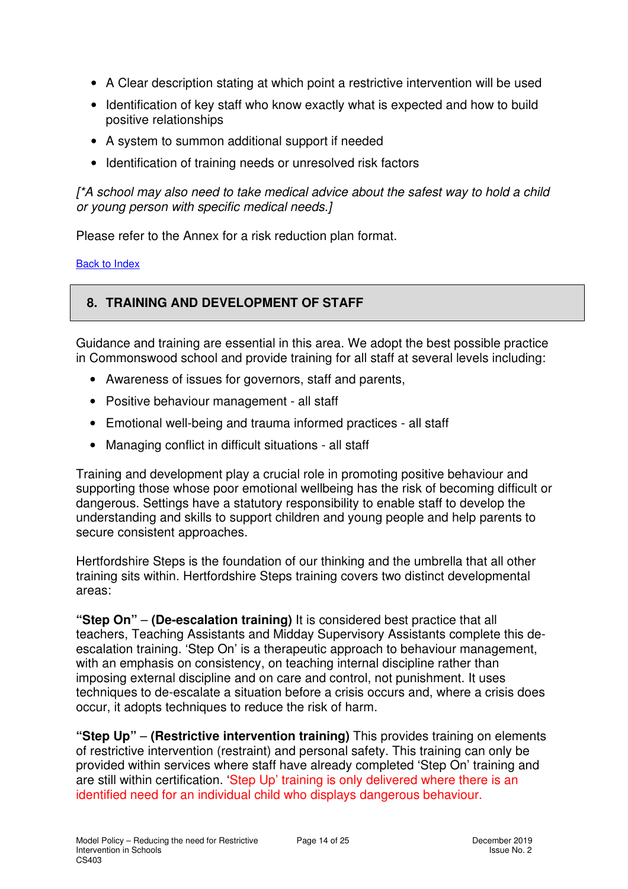- A Clear description stating at which point a restrictive intervention will be used
- Identification of key staff who know exactly what is expected and how to build positive relationships
- A system to summon additional support if needed
- Identification of training needs or unresolved risk factors

[\*A school may also need to take medical advice about the safest way to hold a child or young person with specific medical needs.]

Please refer to the Annex for a risk reduction plan format.

Back to Index

#### **8. TRAINING AND DEVELOPMENT OF STAFF**

Guidance and training are essential in this area. We adopt the best possible practice in Commonswood school and provide training for all staff at several levels including:

- Awareness of issues for governors, staff and parents,
- Positive behaviour management all staff
- Emotional well-being and trauma informed practices all staff
- Managing conflict in difficult situations all staff

Training and development play a crucial role in promoting positive behaviour and supporting those whose poor emotional wellbeing has the risk of becoming difficult or dangerous. Settings have a statutory responsibility to enable staff to develop the understanding and skills to support children and young people and help parents to secure consistent approaches.

Hertfordshire Steps is the foundation of our thinking and the umbrella that all other training sits within. Hertfordshire Steps training covers two distinct developmental areas:

**"Step On"** – **(De-escalation training)** It is considered best practice that all teachers, Teaching Assistants and Midday Supervisory Assistants complete this deescalation training. 'Step On' is a therapeutic approach to behaviour management, with an emphasis on consistency, on teaching internal discipline rather than imposing external discipline and on care and control, not punishment. It uses techniques to de-escalate a situation before a crisis occurs and, where a crisis does occur, it adopts techniques to reduce the risk of harm.

**"Step Up"** – **(Restrictive intervention training)** This provides training on elements of restrictive intervention (restraint) and personal safety. This training can only be provided within services where staff have already completed 'Step On' training and are still within certification. 'Step Up' training is only delivered where there is an identified need for an individual child who displays dangerous behaviour.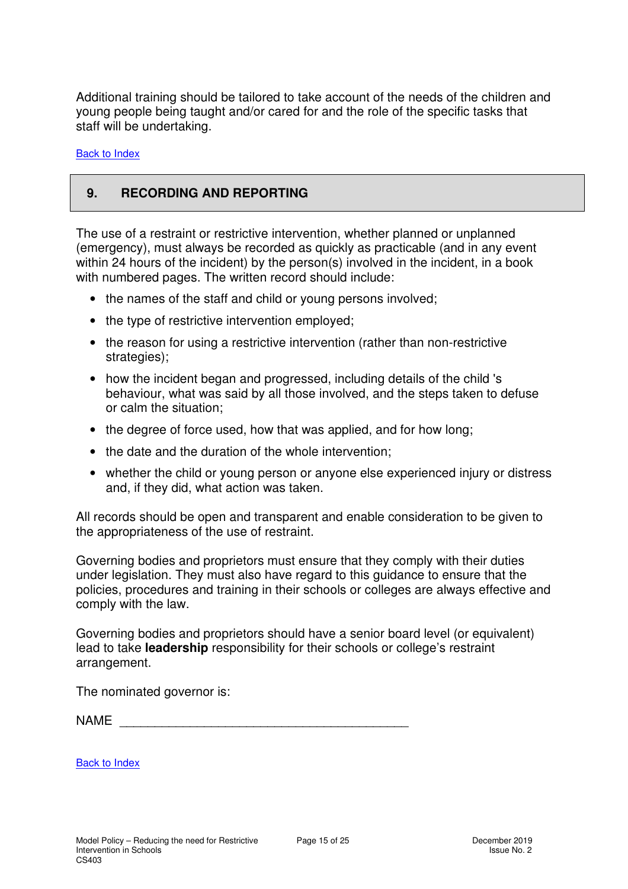Additional training should be tailored to take account of the needs of the children and young people being taught and/or cared for and the role of the specific tasks that staff will be undertaking.

Back to Index

#### **9. RECORDING AND REPORTING**

The use of a restraint or restrictive intervention, whether planned or unplanned (emergency), must always be recorded as quickly as practicable (and in any event within 24 hours of the incident) by the person(s) involved in the incident, in a book with numbered pages. The written record should include:

- the names of the staff and child or young persons involved;
- the type of restrictive intervention employed;
- the reason for using a restrictive intervention (rather than non-restrictive strategies);
- how the incident began and progressed, including details of the child 's behaviour, what was said by all those involved, and the steps taken to defuse or calm the situation;
- the degree of force used, how that was applied, and for how long;
- the date and the duration of the whole intervention;
- whether the child or young person or anyone else experienced injury or distress and, if they did, what action was taken.

All records should be open and transparent and enable consideration to be given to the appropriateness of the use of restraint.

Governing bodies and proprietors must ensure that they comply with their duties under legislation. They must also have regard to this guidance to ensure that the policies, procedures and training in their schools or colleges are always effective and comply with the law.

Governing bodies and proprietors should have a senior board level (or equivalent) lead to take **leadership** responsibility for their schools or college's restraint arrangement.

The nominated governor is:

 $NAME$ 

Back to Index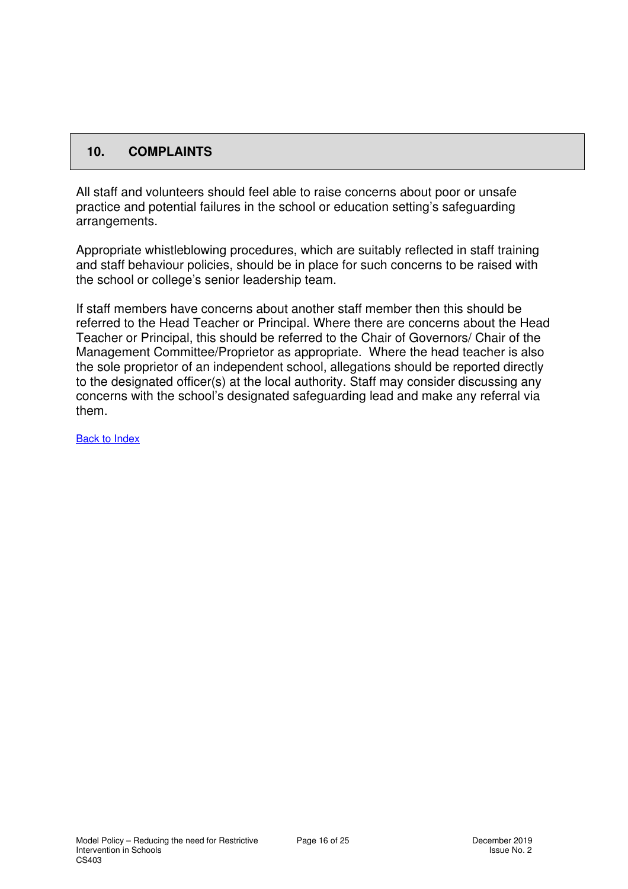#### **10. COMPLAINTS**

All staff and volunteers should feel able to raise concerns about poor or unsafe practice and potential failures in the school or education setting's safeguarding arrangements.

Appropriate whistleblowing procedures, which are suitably reflected in staff training and staff behaviour policies, should be in place for such concerns to be raised with the school or college's senior leadership team.

If staff members have concerns about another staff member then this should be referred to the Head Teacher or Principal. Where there are concerns about the Head Teacher or Principal, this should be referred to the Chair of Governors/ Chair of the Management Committee/Proprietor as appropriate. Where the head teacher is also the sole proprietor of an independent school, allegations should be reported directly to the designated officer(s) at the local authority. Staff may consider discussing any concerns with the school's designated safeguarding lead and make any referral via them.

Back to Index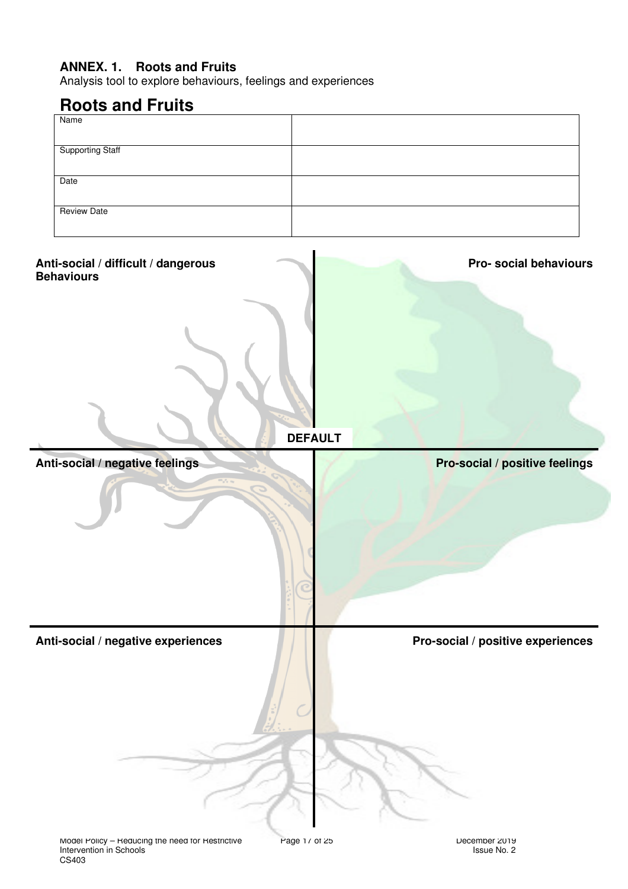#### **ANNEX. 1. Roots and Fruits**

Analysis tool to explore behaviours, feelings and experiences

# **Roots and Fruits**

| Name                    |  |
|-------------------------|--|
|                         |  |
| <b>Supporting Staff</b> |  |
|                         |  |
| Date                    |  |
|                         |  |
| Review Date             |  |
|                         |  |

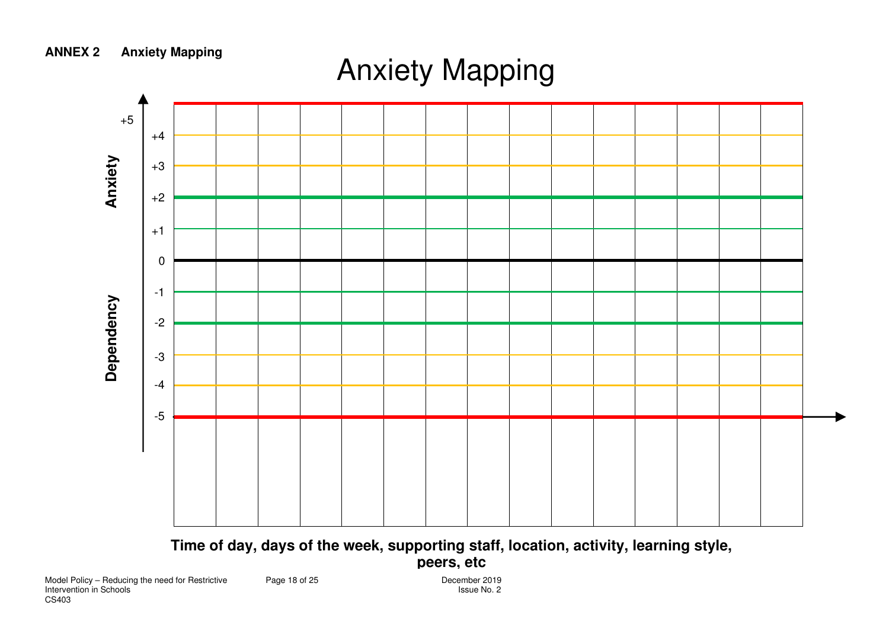

**Time of day, days of the week, supporting staff, location, activity, learning style,** 

#### **peers, etc**

December 2019

**ANNEX 2 Anxiety Mapping** 

# Anxiety Mapping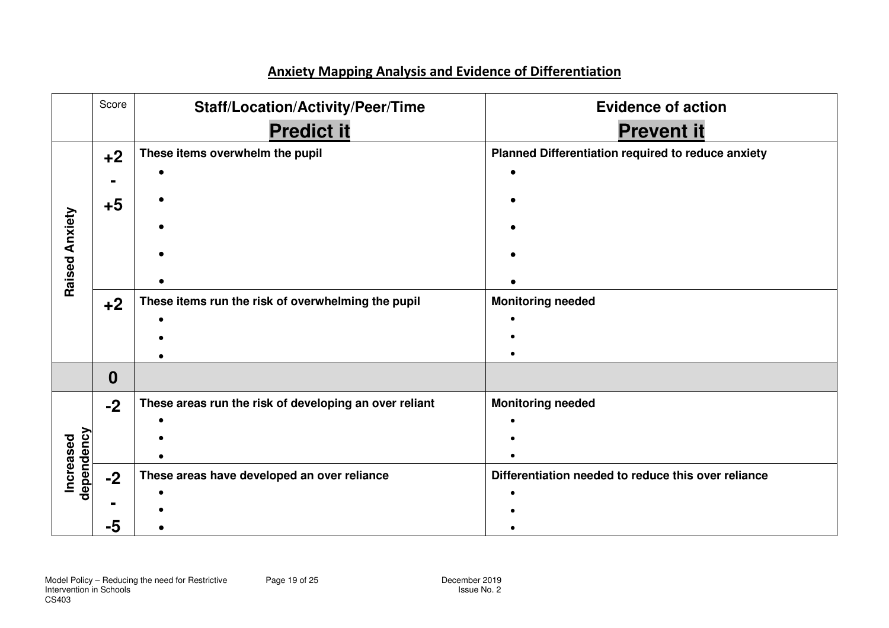#### **Anxiety Mapping Analysis and Evidence of Differentiation**

|                         | Score | <b>Staff/Location/Activity/Peer/Time</b>               | <b>Evidence of action</b>                           |
|-------------------------|-------|--------------------------------------------------------|-----------------------------------------------------|
|                         |       | <b>Predict it</b>                                      | <b>Prevent it</b>                                   |
|                         | $+2$  | These items overwhelm the pupil                        | Planned Differentiation required to reduce anxiety  |
|                         |       |                                                        |                                                     |
|                         | $+5$  |                                                        |                                                     |
| Raised Anxiety          |       |                                                        |                                                     |
|                         |       |                                                        |                                                     |
|                         |       |                                                        |                                                     |
|                         |       |                                                        |                                                     |
|                         | $+2$  | These items run the risk of overwhelming the pupil     | <b>Monitoring needed</b>                            |
|                         |       |                                                        |                                                     |
|                         |       |                                                        |                                                     |
|                         |       |                                                        |                                                     |
|                         | 0     |                                                        |                                                     |
|                         | $-2$  | These areas run the risk of developing an over reliant | <b>Monitoring needed</b>                            |
|                         |       |                                                        |                                                     |
|                         |       |                                                        |                                                     |
|                         |       |                                                        |                                                     |
| dependency<br>Increased | $-2$  | These areas have developed an over reliance            | Differentiation needed to reduce this over reliance |
|                         |       |                                                        |                                                     |
|                         |       |                                                        |                                                     |
|                         | -5    |                                                        |                                                     |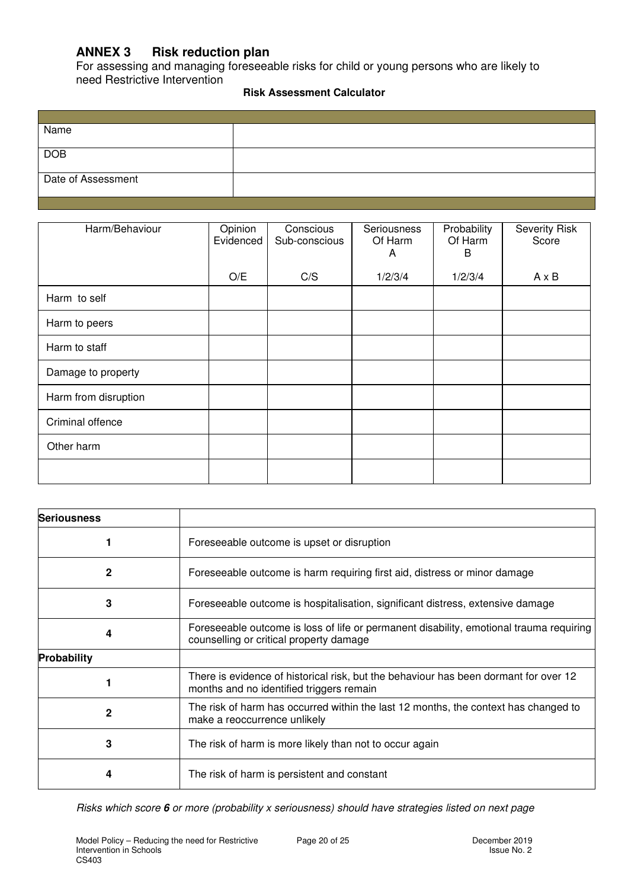#### **ANNEX 3 Risk reduction plan**

For assessing and managing foreseeable risks for child or young persons who are likely to need Restrictive Intervention

#### **Risk Assessment Calculator**

| Name               |  |
|--------------------|--|
|                    |  |
| <b>DOB</b>         |  |
|                    |  |
| Date of Assessment |  |
|                    |  |

| Harm/Behaviour       | Opinion<br>Evidenced | Conscious<br>Sub-conscious | Seriousness<br>Of Harm<br>A | Probability<br>Of Harm<br>B | <b>Severity Risk</b><br>Score |
|----------------------|----------------------|----------------------------|-----------------------------|-----------------------------|-------------------------------|
|                      | O/E                  | C/S                        | 1/2/3/4                     | 1/2/3/4                     | $A \times B$                  |
| Harm to self         |                      |                            |                             |                             |                               |
| Harm to peers        |                      |                            |                             |                             |                               |
| Harm to staff        |                      |                            |                             |                             |                               |
| Damage to property   |                      |                            |                             |                             |                               |
| Harm from disruption |                      |                            |                             |                             |                               |
| Criminal offence     |                      |                            |                             |                             |                               |
| Other harm           |                      |                            |                             |                             |                               |
|                      |                      |                            |                             |                             |                               |

| <b>Seriousness</b> |                                                                                                                                    |
|--------------------|------------------------------------------------------------------------------------------------------------------------------------|
|                    | Foreseeable outcome is upset or disruption                                                                                         |
| 2                  | Foreseeable outcome is harm requiring first aid, distress or minor damage                                                          |
| 3                  | Foreseeable outcome is hospitalisation, significant distress, extensive damage                                                     |
|                    | Foreseeable outcome is loss of life or permanent disability, emotional trauma requiring<br>counselling or critical property damage |
| Probability        |                                                                                                                                    |
|                    | There is evidence of historical risk, but the behaviour has been dormant for over 12<br>months and no identified triggers remain   |
| 2                  | The risk of harm has occurred within the last 12 months, the context has changed to<br>make a reoccurrence unlikely                |
| 3                  | The risk of harm is more likely than not to occur again                                                                            |
|                    | The risk of harm is persistent and constant                                                                                        |

Risks which score **6** or more (probability x seriousness) should have strategies listed on next page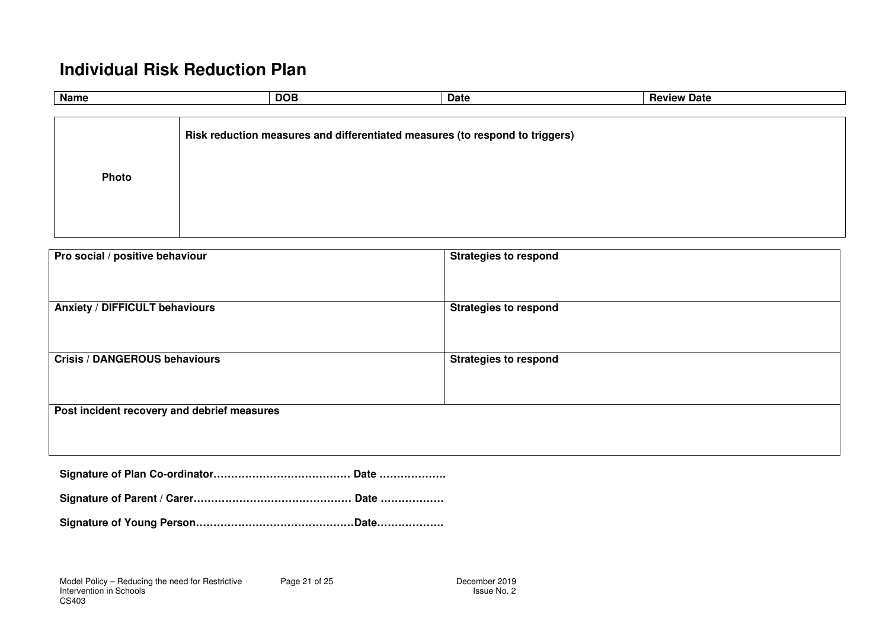# **Individual Risk Reduction Plan**

| <b>Name</b> | <b>DOB</b>                                                                   | Date | <b>Review Date</b> |
|-------------|------------------------------------------------------------------------------|------|--------------------|
|             |                                                                              |      |                    |
|             | Risk reduction measures and differentiated measures (to respond to triggers) |      |                    |
| Photo       |                                                                              |      |                    |
|             |                                                                              |      |                    |
|             |                                                                              |      |                    |

| <b>Anxiety / DIFFICULT behaviours</b>       |                              |
|---------------------------------------------|------------------------------|
|                                             | <b>Strategies to respond</b> |
| <b>Crisis / DANGEROUS behaviours</b>        | <b>Strategies to respond</b> |
|                                             |                              |
| Post incident recovery and debrief measures |                              |
|                                             |                              |

|--|--|

**Signature of Parent / Carer……………………………………… Date ………………** 

**Signature of Young Person………………………………………Date……………….**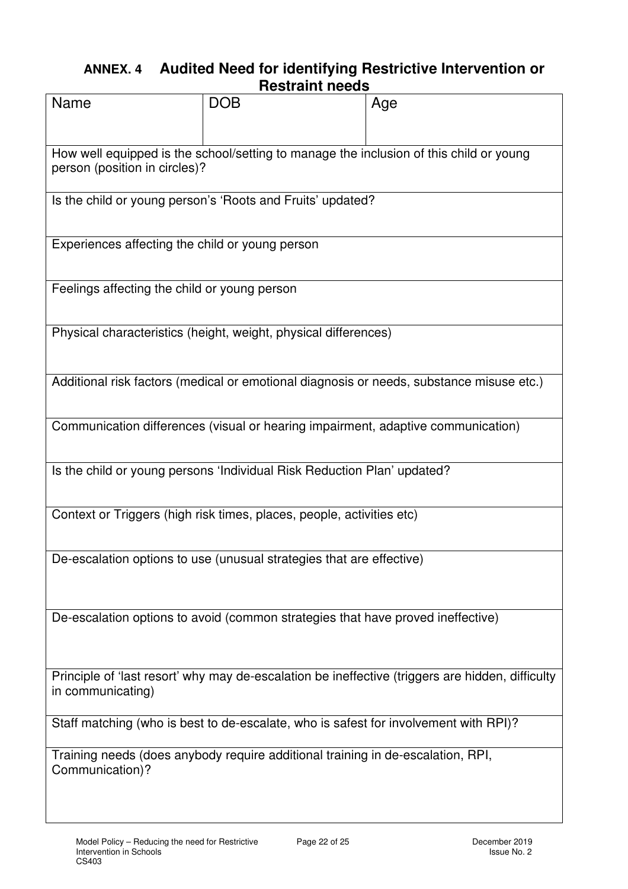### **ANNEX. 4 Audited Need for identifying Restrictive Intervention or Restraint needs**

|                                                                                          | נוסטעו מוווג ווטטעט                                                                  |                                                                                                  |  |  |
|------------------------------------------------------------------------------------------|--------------------------------------------------------------------------------------|--------------------------------------------------------------------------------------------------|--|--|
| <b>Name</b>                                                                              | <b>DOB</b>                                                                           | Age                                                                                              |  |  |
| person (position in circles)?                                                            |                                                                                      | How well equipped is the school/setting to manage the inclusion of this child or young           |  |  |
| Is the child or young person's 'Roots and Fruits' updated?                               |                                                                                      |                                                                                                  |  |  |
| Experiences affecting the child or young person                                          |                                                                                      |                                                                                                  |  |  |
| Feelings affecting the child or young person                                             |                                                                                      |                                                                                                  |  |  |
|                                                                                          | Physical characteristics (height, weight, physical differences)                      |                                                                                                  |  |  |
| Additional risk factors (medical or emotional diagnosis or needs, substance misuse etc.) |                                                                                      |                                                                                                  |  |  |
| Communication differences (visual or hearing impairment, adaptive communication)         |                                                                                      |                                                                                                  |  |  |
| Is the child or young persons 'Individual Risk Reduction Plan' updated?                  |                                                                                      |                                                                                                  |  |  |
| Context or Triggers (high risk times, places, people, activities etc)                    |                                                                                      |                                                                                                  |  |  |
|                                                                                          | De-escalation options to use (unusual strategies that are effective)                 |                                                                                                  |  |  |
|                                                                                          | De-escalation options to avoid (common strategies that have proved ineffective)      |                                                                                                  |  |  |
| in communicating)                                                                        |                                                                                      | Principle of 'last resort' why may de-escalation be ineffective (triggers are hidden, difficulty |  |  |
|                                                                                          | Staff matching (who is best to de-escalate, who is safest for involvement with RPI)? |                                                                                                  |  |  |
| Communication)?                                                                          | Training needs (does anybody require additional training in de-escalation, RPI,      |                                                                                                  |  |  |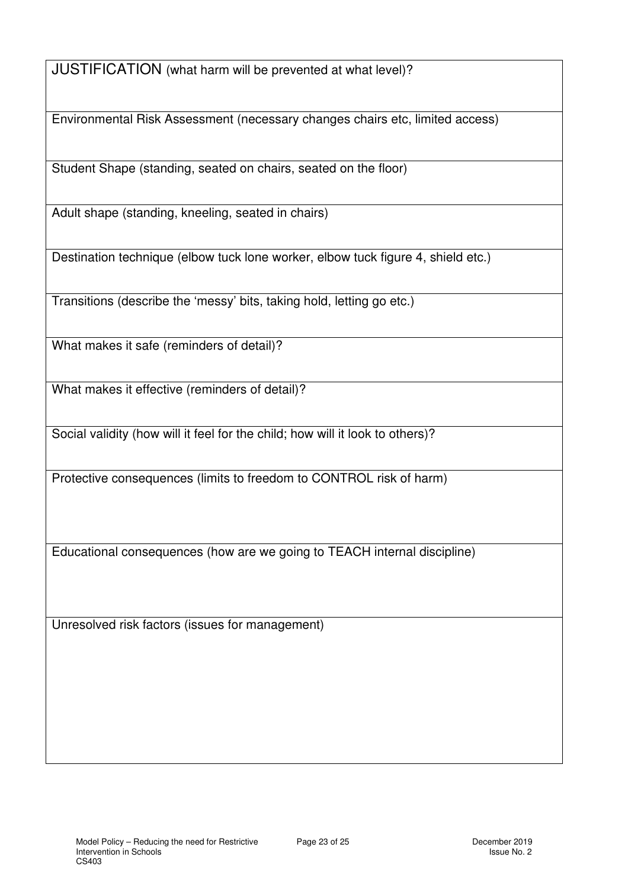JUSTIFICATION (what harm will be prevented at what level)?

Environmental Risk Assessment (necessary changes chairs etc, limited access)

Student Shape (standing, seated on chairs, seated on the floor)

Adult shape (standing, kneeling, seated in chairs)

Destination technique (elbow tuck lone worker, elbow tuck figure 4, shield etc.)

Transitions (describe the 'messy' bits, taking hold, letting go etc.)

What makes it safe (reminders of detail)?

What makes it effective (reminders of detail)?

Social validity (how will it feel for the child; how will it look to others)?

Protective consequences (limits to freedom to CONTROL risk of harm)

Educational consequences (how are we going to TEACH internal discipline)

Unresolved risk factors (issues for management)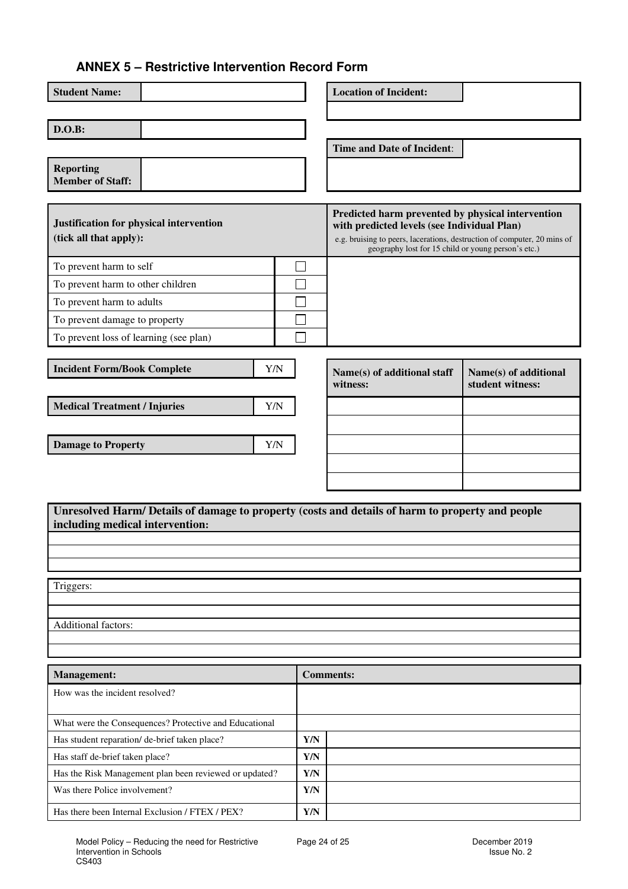#### **ANNEX 5 – Restrictive Intervention Record Form**

| <b>Student Name:</b>                                                                                                                |                         | <b>Location of Incident:</b>                                                                                                                                                                                                        |                                           |  |
|-------------------------------------------------------------------------------------------------------------------------------------|-------------------------|-------------------------------------------------------------------------------------------------------------------------------------------------------------------------------------------------------------------------------------|-------------------------------------------|--|
| D.O.B:                                                                                                                              |                         |                                                                                                                                                                                                                                     |                                           |  |
|                                                                                                                                     |                         | <b>Time and Date of Incident:</b>                                                                                                                                                                                                   |                                           |  |
| <b>Reporting</b><br><b>Member of Staff:</b>                                                                                         |                         |                                                                                                                                                                                                                                     |                                           |  |
| Justification for physical intervention<br>(tick all that apply):                                                                   |                         | Predicted harm prevented by physical intervention<br>with predicted levels (see Individual Plan)<br>e.g. bruising to peers, lacerations, destruction of computer, 20 mins of<br>geography lost for 15 child or young person's etc.) |                                           |  |
| To prevent harm to self                                                                                                             |                         |                                                                                                                                                                                                                                     |                                           |  |
| To prevent harm to other children                                                                                                   |                         |                                                                                                                                                                                                                                     |                                           |  |
| To prevent harm to adults                                                                                                           |                         |                                                                                                                                                                                                                                     |                                           |  |
| To prevent damage to property                                                                                                       |                         |                                                                                                                                                                                                                                     |                                           |  |
| To prevent loss of learning (see plan)                                                                                              |                         |                                                                                                                                                                                                                                     |                                           |  |
| <b>Incident Form/Book Complete</b>                                                                                                  | Y/N                     | Name(s) of additional staff<br>witness:                                                                                                                                                                                             | Name(s) of additional<br>student witness: |  |
| <b>Medical Treatment / Injuries</b>                                                                                                 | Y/N                     |                                                                                                                                                                                                                                     |                                           |  |
|                                                                                                                                     |                         |                                                                                                                                                                                                                                     |                                           |  |
| <b>Damage to Property</b>                                                                                                           | Y/N                     |                                                                                                                                                                                                                                     |                                           |  |
|                                                                                                                                     |                         |                                                                                                                                                                                                                                     |                                           |  |
|                                                                                                                                     |                         |                                                                                                                                                                                                                                     |                                           |  |
|                                                                                                                                     |                         |                                                                                                                                                                                                                                     |                                           |  |
| Unresolved Harm/ Details of damage to property (costs and details of harm to property and people<br>including medical intervention: |                         |                                                                                                                                                                                                                                     |                                           |  |
|                                                                                                                                     |                         |                                                                                                                                                                                                                                     |                                           |  |
|                                                                                                                                     |                         |                                                                                                                                                                                                                                     |                                           |  |
|                                                                                                                                     |                         |                                                                                                                                                                                                                                     |                                           |  |
| Triggers:                                                                                                                           |                         |                                                                                                                                                                                                                                     |                                           |  |
|                                                                                                                                     |                         |                                                                                                                                                                                                                                     |                                           |  |
| Additional factors:                                                                                                                 |                         |                                                                                                                                                                                                                                     |                                           |  |
|                                                                                                                                     |                         |                                                                                                                                                                                                                                     |                                           |  |
| Management:                                                                                                                         |                         | <b>Comments:</b>                                                                                                                                                                                                                    |                                           |  |
| How was the incident resolved?                                                                                                      |                         |                                                                                                                                                                                                                                     |                                           |  |
| What were the Consequences? Protective and Educational                                                                              |                         |                                                                                                                                                                                                                                     |                                           |  |
| Has student reparation/ de-brief taken place?                                                                                       | Y/N                     |                                                                                                                                                                                                                                     |                                           |  |
| Has staff de-brief taken place?                                                                                                     | Y/N                     |                                                                                                                                                                                                                                     |                                           |  |
| Has the Risk Management plan been reviewed or updated?                                                                              | Y/N                     |                                                                                                                                                                                                                                     |                                           |  |
| Was there Police involvement?                                                                                                       | Y/N                     |                                                                                                                                                                                                                                     |                                           |  |
| Has there been Internal Exclusion / FTEX / PEX?                                                                                     | $\mathbf{Y}/\mathbf{N}$ |                                                                                                                                                                                                                                     |                                           |  |